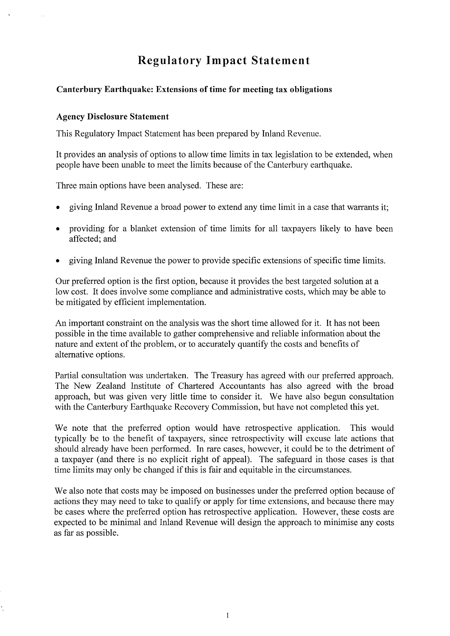# **Regulatory Impact Statement**

#### **Canterbury Earthquake: Extensions of time for meeting tax obligations**

#### **Agency Disclosure Statement**

This Regulatory Impact Statement has been prepared by Inland Revenue.

It provides an analysis of options to allow time limits in tax legislation to be extended, when people have been unable to meet the limits because of the Canterbury earthquake.

Three main options have been analysed. These are:

- giving Inland Revenue a broad power to extend any time limit in a case that warrants it;
- providing for a blanket extension of time limits for all taxpayers likely to have been affected; and
- giving Inland Revenue the power to provide specific extensions of specific time limits.

Our preferred option is the first option, because it provides the best targeted solution at a low cost. It does involve some compliance and administrative costs, which may be able to be mitigated by efficient implementation.

An important constraint on the analysis was the short time allowed for it. It has not been possible in the time available to gather comprehensive and reliable information about the nature and extent of the problem, or to accurately quantify the costs and benefits of alternative options.

Partial consultation was undertaken. The Treasury has agreed with our preferred approach. The New Zealand Institute of Chartered Accountants has also agreed with the broad approach, but was given very little time to consider it. We have also begun consultation with the Canterbury Earthquake Recovery Commission, but have not completed this yet.

We note that the preferred option would have retrospective application. This would typically be to the benefit of taxpayers, since retrospectivity will excuse late actions that should already have been performed. In rare cases, however, it could be to the detriment of a taxpayer (and there is no explicit right of appeal). The safeguard in those cases is that time limits may only be changed if this is fair and equitable in the circumstances.

We also note that costs may be imposed on businesses under the preferred option because of actions they may need to take to qualify or apply for time extensions, and because there may be cases where the preferred option has retrospective application. However, these costs are expected to be minimal and Inland Revenue will design the approach to minimise any costs as far as possible.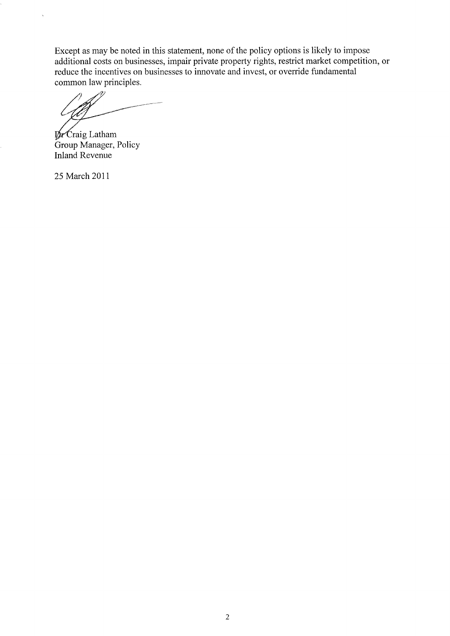Except as may be noted in this statement, none of the policy options is likely to impose additional costs on businesses, impair private property rights, restrict market competition, or reduce the incentives on businesses to innovate and invest, or override fundamental common law principles.

 $\n *pr* Craig Latham\n$ Group Manager, Policy Inland Revenue

25 March 2011

i,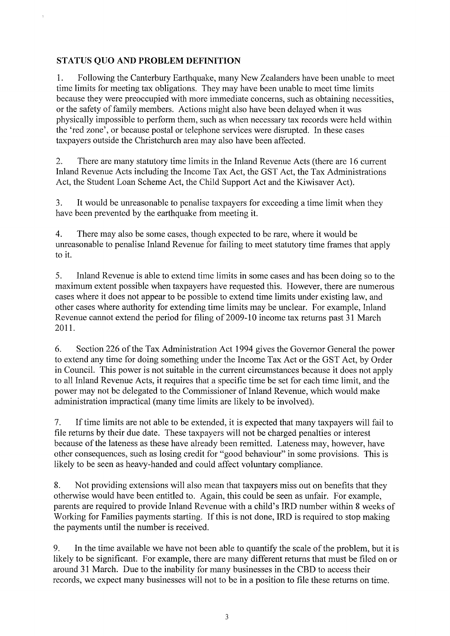## **STATUS QUO AND PROBLEM DEFINITION**

1. Following the Canterbury Earthquake, many New Zealanders have been unable to meet time limits for meeting tax obligations. They may have been unable to meet time limits because they were preoccupied with more immediate concerns, such as obtaining necessities, or the safety of family members. Actions might also have been delayed when it was physically impossible to perform them, such as when necessary tax records were held within the 'red zone', or because postal or telephone services were disrupted. In these cases taxpayers outside the Christchurch area may also have been affected.

2. There are many statutory time limits in the Inland Revenue Acts (there are 16 current Inland Revenue Acts including the Income Tax Act, the GST Act, the Tax Administrations Act, the Student Loan Scheme Act, the Child Support Act and the Kiwisaver Act).

3. It would be unreasonable to penalise taxpayers for exceeding a time limit when they have been prevented by the earthquake from meeting it.

4. There may also be some cases, though expected to be rare, where it would be unreasonable to penalise Inland Revenue for failing to meet statutory time frames that apply to it.

5. Inland Revenue is able to extend time limits in some cases and has been doing so to the maximum extent possible when taxpayers have requested this. However, there are numerous cases where it does not appear to be possible to extend time limits under existing law, and other cases where authority for extending time limits may be unclear. For example, Inland Revenue cannot extend the period for filing of 2009-10 income tax returns past 31 March 2011.

6. Section 226 of the Tax Administration Act 1994 gives the Governor General the power to extend any time for doing something under the Income Tax Act or the GST Act, by Order in Council. This power is not suitable in the current circumstances because it does not apply to all Inland Revenue Acts, it requires that a specific time be set for each time limit, and the power may not be delegated to the Commissioner of Inland Revenue, which would make administration impractical (many time limits are likely to be involved).

7. Iftime limits are not able to be extended, it is expected that many taxpayers will fail to file returns by their due date. These taxpayers will not be charged penalties or interest because of the lateness as these have already been remitted. Lateness may, however, have other consequences, such as losing credit for "good behaviour" in some provisions. This is likely to be seen as heavy-handed and could affect voluntary compliance.

8. Not providing extensions will also mean that taxpayers miss out on benefits that they otherwise would have been entitled to. Again, this could be seen as unfair. For example, parents are required to provide Inland Revenue with a child's IRD number within 8 weeks of Working for Families payments starting. If this is not done, IRD is required to stop making the payments until the number is received.

9. In the time available we have not been able to quantify the scale of the problem, but it is likely to be significant. For example, there are many different returns that must be filed on or around 31 March. Due to the inability for many businesses in the CBD to access their records, we expect many businesses will not to be in a position to file these returns on time.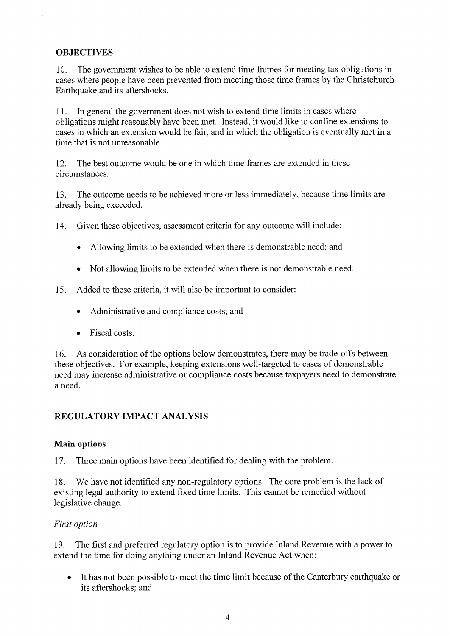#### **OBJECTIVES**

10. The government wishes to be able to extend time frames for meeting tax obligations in cases where people have been prevented from meeting those time frames by the Christchurch Earthquake and its aftershocks.

11. In general the government does not wish to extend time limits in cases where obligations might reasonably have been met. Instead, it would like to confine extensions to cases in which an extension would be fair, and in which the obligation is eventually met in a time that is not unreasonable.

12. The best outcome would be one in which time frames are extended in these circumstances.

13. The outcome needs to be achieved more or less immediately, because time limits are already being exceeded.

14. Given these objectives, assessment criteria for any outcome will include:

- Allowing limits to be extended when there is demonstrable need; and
- Not allowing limits to be extended when there is not demonstrable need.
- 15. Added to these criteria, it will also be important to consider:
	- Administrative and compliance costs; and
	- Fiscal costs.

16. As consideration of the options below demonstrates, there may be trade-offs between these objectives. For example, keeping extensions well-targeted to cases of demonstrable need may increase administrative or compliance costs because taxpayers need to demonstrate a need.

#### **REGULATORY IMPACT ANALYSIS**

#### **Main options**

17. Three main options have been identified for dealing with the problem.

18. We have not identified any non-regulatory options. The core problem is the lack of existing legal authority to extend fixed time limits. This cannot be remedied without legislative change.

#### *First option*

19. The first and preferred regulatory option is to provide Inland Revenue with a power to extend the time for doing anything under an Inland Revenue Act when:

• It has not been possible to meet the time limit because of the Canterbury earthquake or its aftershocks; and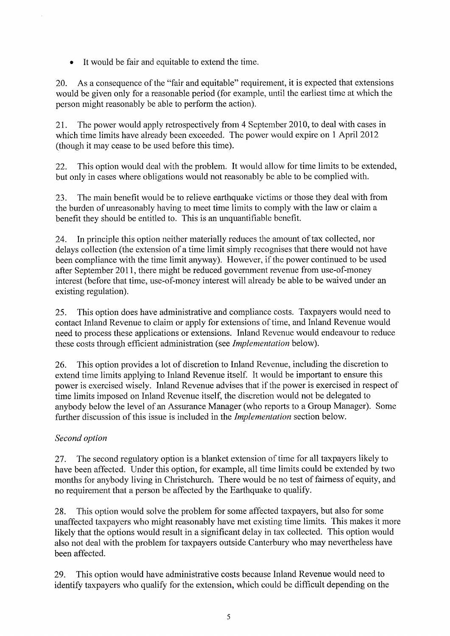It would be fair and equitable to extend the time.

20. As a consequence of the "fair and equitable" requirement, it is expected that extensions would be given only for a reasonable period (for example, until the earliest time at which the person might reasonably be able to perform the action).

21. The power would apply retrospectively from 4 September 2010, to deal with cases in which time limits have already been exceeded. The power would expire on 1 April 2012 (though it may cease to be used before this time).

22. This option would deal with the problem. It would allow for time limits to be extended, but only in cases where obligations would not reasonably be able to be complied with.

23. The main benefit would be to relieve earthquake victims or those they deal with from the burden of unreasonably having to meet time limits to comply with the law or claim a benefit they should be entitled to. This is an unquantifiable benefit.

24. In principle this option neither materially reduces the amount of tax collected, nor delays collection (the extension of a time limit simply recognises that there would not have been compliance with the time limit anyway). However, if the power continued to be used after September 2011, there might be reduced government revenue from use-of-money interest (before that time, use-of-money interest will already be able to be waived under an existing regulation).

25. This option does have administrative and compliance costs. Taxpayers would need to contact Inland Revenue to claim or apply for extensions of time, and Inland Revenue would need to process these applications or extensions. Inland Revenue would endeavour to reduce these costs through efficient administration (see *Implementation* below).

26. This option provides a lot of discretion to Inland Revenue, including the discretion to extend time limits applying to Inland Revenue itself. It would be important to ensure this power is exercised wisely. Inland Revenue advises that if the power is exercised in respect of time limits imposed on Inland Revenue itself, the discretion would not be delegated to anybody below the level of an Assurance Manager (who reports to a Group Manager). Some further discussion of this issue is included in the *Implementation* section below.

## *Second option*

27. The second regulatory option is a blanket extension of time for all taxpayers likely to have been affected. Under this option, for example, all time limits could be extended by two months for anybody living in Christchurch. There would be no test of fairness of equity, and no requirement that a person be affected by the Earthquake to qualify.

28. This option would solve the problem for some affected taxpayers, but also for some unaffected taxpayers who might reasonably have met existing time limits. This makes it more likely that the options would result in a significant delay in tax collected. This option would also not deal with the problem for taxpayers outside Canterbury who may nevertheless have been affected.

29. This option would have administrative costs because Inland Revenue would need to identify taxpayers who qualify for the extension, which could be difficult depending on the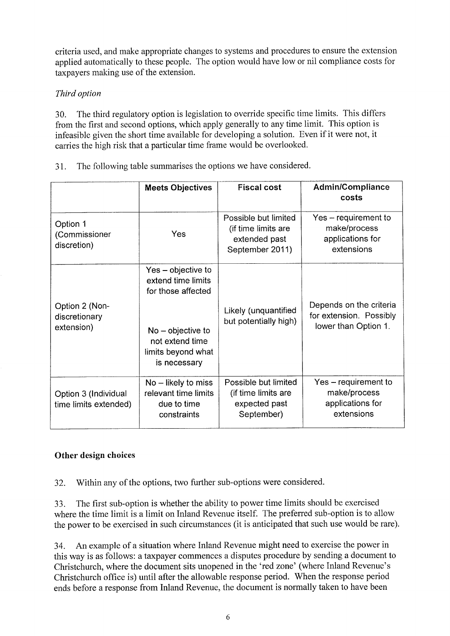criteria used, and make appropriate changes to systems and procedures to ensure the extension applied automatically to these people. The option would have low or nil compliance costs for taxpayers making use of the extension.

# *Third option*

30. The third regulatory option is legislation to override specific time limits. This differs from the first and second options, which apply generally to any time limit. This option is infeasible given the short time available for developing a solution. Even if it were not, it carries the high risk that a particular time frame would be overlooked.

| 31. | The following table summarises the options we have considered. |  |
|-----|----------------------------------------------------------------|--|
|     |                                                                |  |

|                                               | <b>Meets Objectives</b>                                                                                                                        | <b>Fiscal cost</b>                                                              | <b>Admin/Compliance</b><br>costs                                           |
|-----------------------------------------------|------------------------------------------------------------------------------------------------------------------------------------------------|---------------------------------------------------------------------------------|----------------------------------------------------------------------------|
| Option 1<br>(Commissioner<br>discretion)      | Yes                                                                                                                                            | Possible but limited<br>(if time limits are<br>extended past<br>September 2011) | Yes – requirement to<br>make/process<br>applications for<br>extensions     |
| Option 2 (Non-<br>discretionary<br>extension) | Yes – objective to<br>extend time limits<br>for those affected<br>$No - objective to$<br>not extend time<br>limits beyond what<br>is necessary | Likely (unquantified<br>but potentially high)                                   | Depends on the criteria<br>for extension. Possibly<br>lower than Option 1. |
| Option 3 (Individual<br>time limits extended) | $No$ – likely to miss<br>relevant time limits<br>due to time<br>constraints                                                                    | Possible but limited<br>(if time limits are<br>expected past<br>September)      | Yes - requirement to<br>make/process<br>applications for<br>extensions     |

# Other design choices

32. Within any of the options, two further sub-options were considered.

33. The first sub-option is whether the ability to power time limits should be exercised where the time limit is a limit on Inland Revenue itself. The preferred sub-option is to allow the power to be exercised in such circumstances (it is anticipated that such use would be rare).

34. An example of a situation where Inland Revenue might need to exercise the power in this way is as follows: a taxpayer commences a disputes procedure by sending a document to Christchurch, where the document sits unopened in the 'red zone' (where Inland Revenue's Christchurch office is) until after the allowable response period. When the response period ends before a response from Inland Revenue, the document is normally taken to have been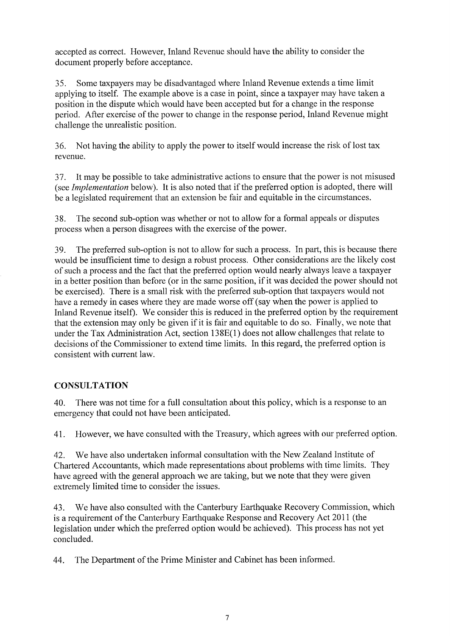accepted as correct. However, Inland Revenue should have the ability to consider the document properly before acceptance.

35. Some taxpayers may be disadvantaged where Inland Revenue extends a time limit applying to itself. The example above is a case in point, since a taxpayer may have taken a position in the dispute which would have been accepted but for a change in the response period. After exercise of the power to change in the response period, Inland Revenue might challenge the unrealistic position.

36. Not having the ability to apply the power to itself would increase the risk of lost tax revenue.

37. It may be possible to take administrative actions to ensure that the power is not misused (see *Implementation* below). It is also noted that if the preferred option is adopted, there will be a legislated requirement that an extension be fair and equitable in the circumstances.

38. The second sub-option was whether or not to allow for a formal appeals or disputes process when a person disagrees with the exercise of the power.

39. The preferred sub-option is not to allow for such a process. In part, this is because there would be insufficient time to design a robust process. Other considerations are the likely cost of such a process and the fact that the preferred option would nearly always leave a taxpayer in a better position than before (or in the same position, if it was decided the power should not be exercised). There is a small risk with the preferred sub-option that taxpayers would not have a remedy in cases where they are made worse off (say when the power is applied to Inland Revenue itself). We consider this is reduced in the preferred option by the requirement that the extension may only be given if it is fair and equitable to do so. Finally, we note that under the Tax Administration Act, section 13 8E(1) does not allow challenges that relate to decisions of the Commissioner to extend time limits. In this regard, the preferred option is consistent with current law.

## **CONSULTATION**

40. There was not time for a full consultation about this policy, which is a response to an emergency that could not have been anticipated.

41. However, we have consulted with the Treasury, which agrees with our preferred option.

42. We have also undertaken informal consultation with the New Zealand Institute of Chartered Accountants, which made representations about problems with time limits. They have agreed with the general approach we are taking, but we note that they were given extremely limited time to consider the issues.

43. We have also consulted with the Canterbury Earthquake Recovery Commission, which is a requirement of the Canterbury Earthquake Response and Recovery Act 2011 (the legislation under which the preferred option would be achieved). This process has not yet concluded.

44. The Department of the Prime Minister and Cabinet has been informed.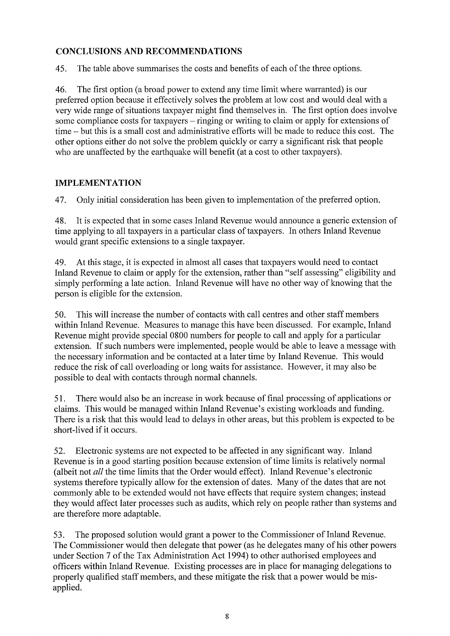## **CONCLUSIONS AND RECOMMENDATIONS**

45. The table above summarises the costs and benefits of each of the three options.

46. The first option (a broad power to extend any time limit where warranted) is our preferred option because it effectively solves the problem at low cost and would deal with a very wide range of situations taxpayer might find themselves in. The first option does involve some compliance costs for taxpayers – ringing or writing to claim or apply for extensions of time - but this is a small cost and administrative efforts will be made to reduce this cost. The other options either do not solve the problem quickly or carry a significant risk that people who are unaffected by the earthquake will benefit (at a cost to other taxpayers).

## **IMPLEMENTATION**

47. Only initial consideration has been given to implementation of the preferred option.

48. It is expected that in some cases Inland Revenue would announce a generic extension of time applying to all taxpayers in a particular class of taxpayers. In others Inland Revenue would grant specific extensions to a single taxpayer.

49. At this stage, it is expected in almost all cases that taxpayers would need to contact Inland Revenue to claim or apply for the extension, rather than "self assessing" eligibility and simply performing a late action. Inland Revenue will have no other way of knowing that the person is eligible for the extension.

50. This will increase the number of contacts with call centres and other staff members within Inland Revenue. Measures to manage this have been discussed. For example, Inland Revenue might provide special 0800 numbers for people to call and apply for a particular extension. If such numbers were implemented, people would be able to leave a message with the necessary information and be contacted at a later time by Inland Revenue. This would reduce the risk of call overloading or long waits for assistance. However, it may also be possible to deal with contacts through normal channels.

51. There would also be an increase in work because of final processing of applications or claims. This would be managed within Inland Revenue's existing workloads and funding. There is a risk that this would lead to delays in other areas, but this problem is expected to be short-lived if it occurs.

52. Electronic systems are not expected to be affected in any significant way. Inland Revenue is in a good starting position because extension of time limits is relatively normal (albeit not *all* the time limits that the Order would effect). Inland Revenue's electronic systems therefore typically allow for the extension of dates. Many of the dates that are not commonly able to be extended would not have effects that require system changes; instead they would affect later processes such as audits, which rely on people rather than systems and are therefore more adaptable.

53. The proposed solution would grant a power to the Commissioner of Inland Revenue. The Commissioner would then delegate that power (as he delegates many of his other powers under Section 7 of the Tax Administration Act 1994) to other authorised employees and officers within Inland Revenue. Existing processes are in place for managing delegations to properly qualified staff members, and these mitigate the risk that a power would be misapplied.